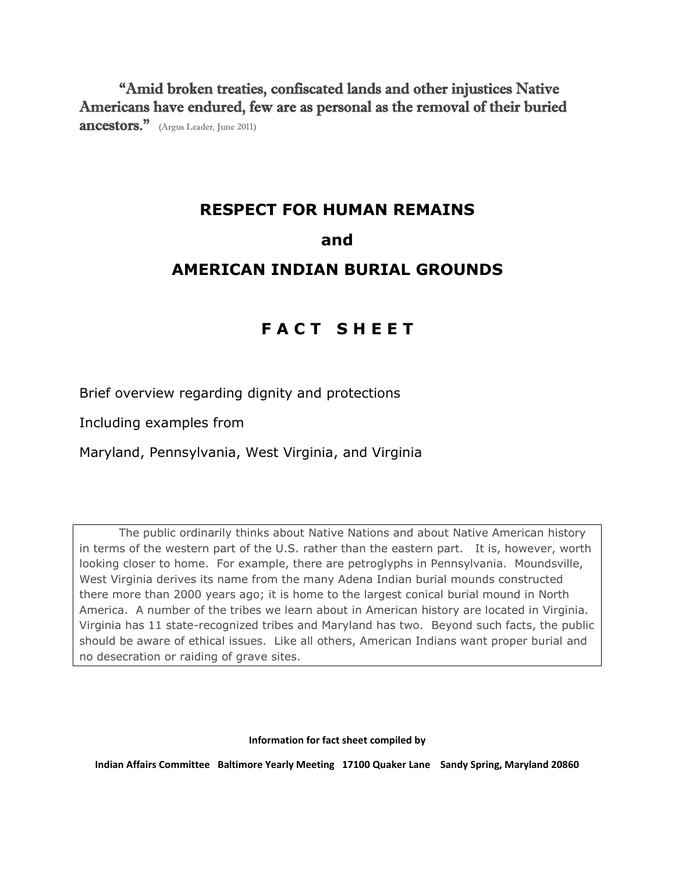"Amid broken treaties, confiscated lands and other injustices Native Americans have endured, few are as personal as the removal of their buried **ancestors.**" (Argus Leader, June 2011)

# **RESPECT FOR HUMAN REMAINS**

# **and**

# **AMERICAN INDIAN BURIAL GROUNDS**

# **F A C T S H E E T**

Brief overview regarding dignity and protections

Including examples from

Maryland, Pennsylvania, West Virginia, and Virginia

The public ordinarily thinks about Native Nations and about Native American history in terms of the western part of the U.S. rather than the eastern part. It is, however, worth looking closer to home. For example, there are petroglyphs in Pennsylvania. Moundsville, West Virginia derives its name from the many Adena Indian burial mounds constructed there more than 2000 years ago; it is home to the largest conical burial mound in North America. A number of the tribes we learn about in American history are located in Virginia. Virginia has 11 state-recognized tribes and Maryland has two. Beyond such facts, the public should be aware of ethical issues. Like all others, American Indians want proper burial and no desecration or raiding of grave sites.

**Information for fact sheet compiled by**

**Indian Affairs Committee Baltimore Yearly Meeting 17100 Quaker Lane Sandy Spring, Maryland 20860**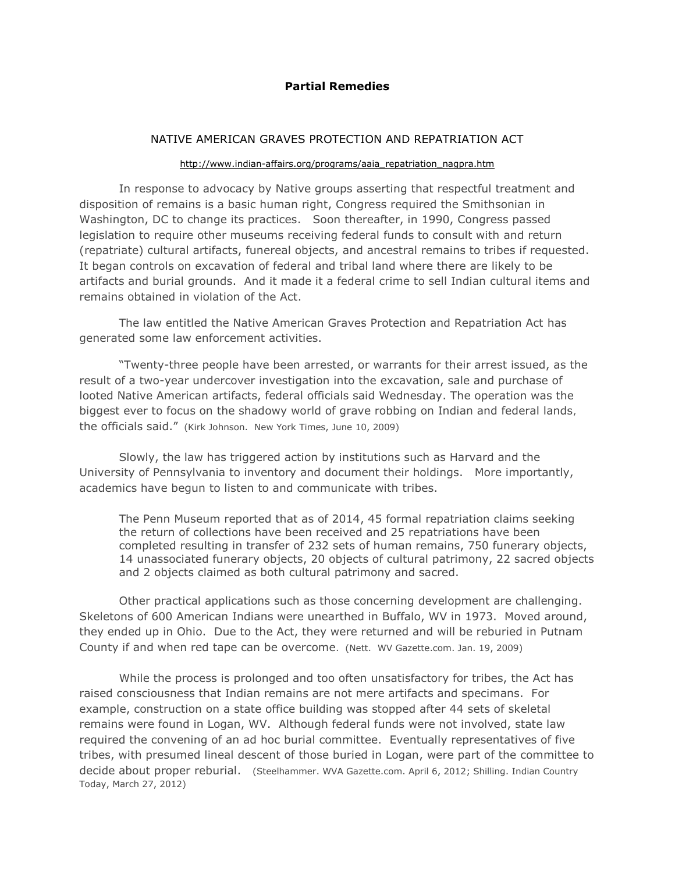## **Partial Remedies**

### NATIVE AMERICAN GRAVES PROTECTION AND REPATRIATION ACT

#### [http://www.indian-affairs.org/programs/aaia\\_repatriation\\_nagpra.htm](http://www.indian-affairs.org/programs/aaia_repatriation_nagpra.htm)

In response to advocacy by Native groups asserting that respectful treatment and disposition of remains is a basic human right, Congress required the Smithsonian in Washington, DC to change its practices. Soon thereafter, in 1990, Congress passed legislation to require other museums receiving federal funds to consult with and return (repatriate) cultural artifacts, funereal objects, and ancestral remains to tribes if requested. It began controls on excavation of federal and tribal land where there are likely to be artifacts and burial grounds. And it made it a federal crime to sell Indian cultural items and remains obtained in violation of the Act.

The law entitled the Native American Graves Protection and Repatriation Act has generated some law enforcement activities.

"Twenty-three people have been arrested, or warrants for their arrest issued, as the result of a two-year undercover investigation into the excavation, sale and purchase of looted Native American artifacts, federal officials said Wednesday. The operation was the biggest ever to focus on the shadowy world of grave robbing on Indian and federal lands, the officials said."(Kirk Johnson. New York Times, June 10, 2009)

Slowly, the law has triggered action by institutions such as Harvard and the University of Pennsylvania to inventory and document their holdings. More importantly, academics have begun to listen to and communicate with tribes.

The Penn Museum reported that as of 2014, 45 formal repatriation claims seeking the return of collections have been received and 25 repatriations have been completed resulting in transfer of 232 sets of human remains, 750 funerary objects, 14 unassociated funerary objects, 20 objects of cultural patrimony, 22 sacred objects and 2 objects claimed as both cultural patrimony and sacred.

Other practical applications such as those concerning development are challenging. Skeletons of 600 American Indians were unearthed in Buffalo, WV in 1973. Moved around, they ended up in Ohio. Due to the Act, they were returned and will be reburied in Putnam County if and when red tape can be overcome. (Nett. WV Gazette.com. Jan. 19, 2009)

While the process is prolonged and too often unsatisfactory for tribes, the Act has raised consciousness that Indian remains are not mere artifacts and specimans. For example, construction on a state office building was stopped after 44 sets of skeletal remains were found in Logan, WV. Although federal funds were not involved, state law required the convening of an ad hoc burial committee. Eventually representatives of five tribes, with presumed lineal descent of those buried in Logan, were part of the committee to decide about proper reburial. (Steelhammer. WVA Gazette.com. April 6, 2012; Shilling. Indian Country Today, March 27, 2012)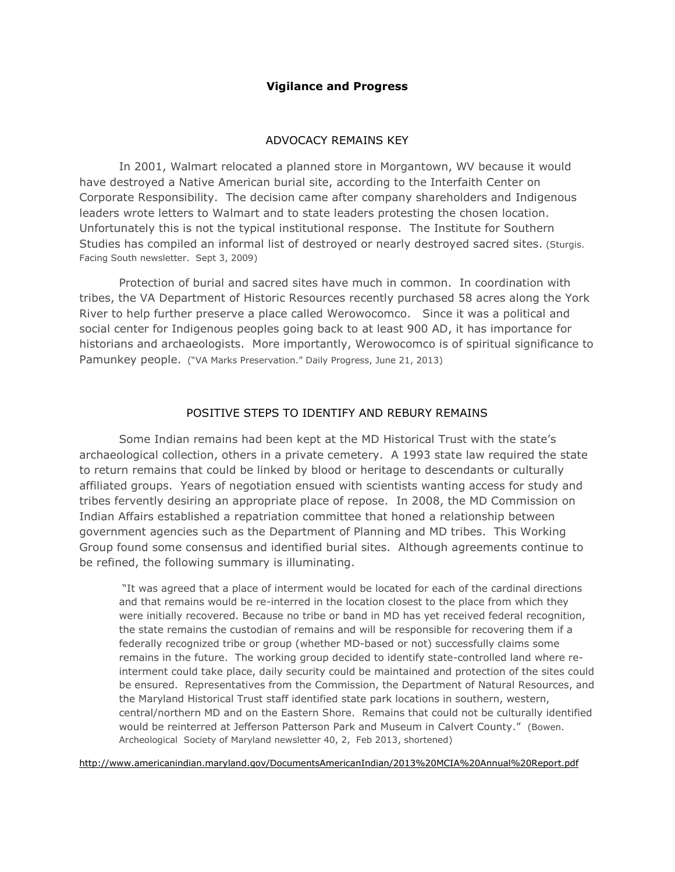### **Vigilance and Progress**

#### ADVOCACY REMAINS KEY

In 2001, Walmart relocated a planned store in Morgantown, WV because it would have destroyed a Native American burial site, [according to the Interfaith Center on](http://www.iccr.org/news/press_releases/pdf%20files/wmtwhitepaper4.6.04.pdf)  [Corporate Responsibility.](http://www.iccr.org/news/press_releases/pdf%20files/wmtwhitepaper4.6.04.pdf) The decision came after company shareholders and Indigenous leaders wrote letters to Walmart and to state leaders protesting the chosen location. Unfortunately this is not the typical institutional response. The Institute for Southern Studies has compiled an informal list of destroyed or nearly destroyed sacred sites. (Sturgis. Facing South newsletter. Sept 3, 2009)

Protection of burial and sacred sites have much in common. In coordination with tribes, the VA Department of Historic Resources recently purchased 58 acres along the York River to help further preserve a place called Werowocomco. Since it was a political and social center for Indigenous peoples going back to at least 900 AD, it has importance for historians and archaeologists. More importantly, Werowocomco is of spiritual significance to Pamunkey people.("VA Marks Preservation." Daily Progress, June 21, 2013)

### POSITIVE STEPS TO IDENTIFY AND REBURY REMAINS

Some Indian remains had been kept at the MD Historical Trust with the state's archaeological collection, others in a private cemetery. A 1993 state law required the state to return remains that could be linked by blood or heritage to descendants or culturally affiliated groups. Years of negotiation ensued with scientists wanting access for study and tribes fervently desiring an appropriate place of repose. In 2008, the MD Commission on Indian Affairs established a repatriation committee that honed a relationship between government agencies such as the Department of Planning and MD tribes. This Working Group found some consensus and identified burial sites. Although agreements continue to be refined, the following summary is illuminating.

"It was agreed that a place of interment would be located for each of the cardinal directions and that remains would be re-interred in the location closest to the place from which they were initially recovered. Because no tribe or band in MD has yet received federal recognition, the state remains the custodian of remains and will be responsible for recovering them if a federally recognized tribe or group (whether MD-based or not) successfully claims some remains in the future. The working group decided to identify state-controlled land where reinterment could take place, daily security could be maintained and protection of the sites could be ensured. Representatives from the Commission, the Department of Natural Resources, and the Maryland Historical Trust staff identified state park locations in southern, western, central/northern MD and on the Eastern Shore. Remains that could not be culturally identified would be reinterred at Jefferson Patterson Park and Museum in Calvert County." (Bowen. Archeological Society of Maryland newsletter 40, 2, Feb 2013, shortened)

<http://www.americanindian.maryland.gov/DocumentsAmericanIndian/2013%20MCIA%20Annual%20Report.pdf>